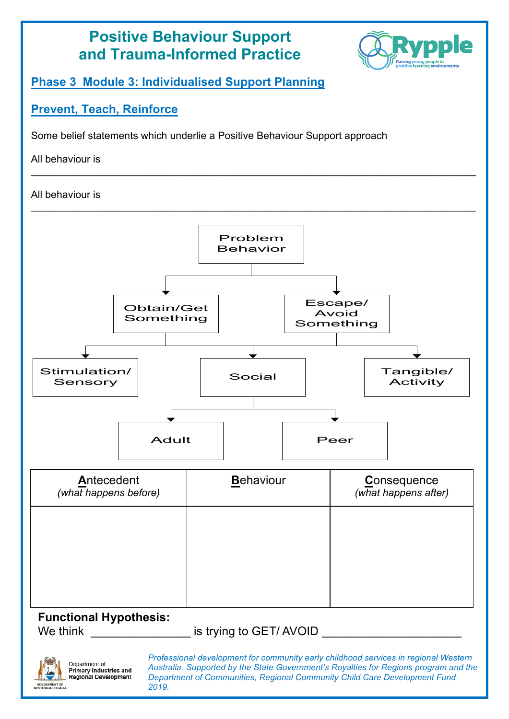

# Department of **Department of**<br>Primary Industries and<br>Regional Development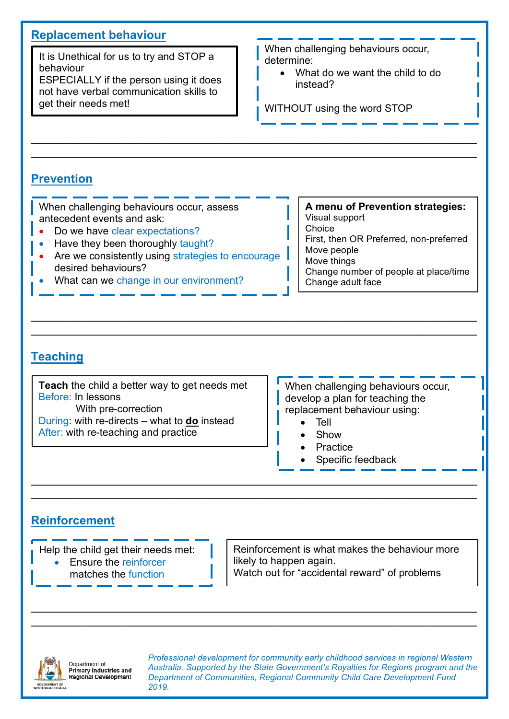# **Replacement behaviour**

It is Unethical for us to try and STOP a behaviour

ESPECIALLY if the person using it does not have verbal communication skills to get their needs met!

When challenging behaviours occur, determine:

• What do we want the child to do instead?

WITHOUT using the word STOP

# **Prevention**

 $\_$ \_\_\_\_\_\_\_\_\_\_\_\_\_\_\_\_\_\_\_\_\_\_\_\_\_\_\_\_\_\_\_\_\_\_\_\_\_\_\_\_\_\_\_\_\_\_\_\_\_\_\_\_\_\_\_\_\_\_\_\_\_\_\_\_\_\_\_

 $\_$  $\_$ 

\_\_\_\_\_\_\_\_\_\_\_\_\_\_\_\_\_\_\_\_\_\_\_\_\_\_\_\_\_\_\_\_\_\_\_\_\_\_\_\_\_\_\_\_\_\_\_\_\_\_\_\_\_\_\_\_\_\_\_\_\_\_\_\_\_\_\_ \_\_\_\_\_\_\_\_\_\_\_\_\_\_\_\_\_\_\_\_\_\_\_\_\_\_\_\_\_\_\_\_\_\_\_\_\_\_\_\_\_\_\_\_\_\_\_\_\_\_\_\_\_\_\_\_\_\_\_\_\_\_\_\_\_\_\_

\_\_\_\_\_\_\_\_\_\_\_\_\_\_\_\_\_\_\_\_\_\_\_\_\_\_\_\_\_\_\_\_\_\_\_\_\_\_\_\_\_\_\_\_\_\_\_\_\_\_\_\_\_\_\_\_\_\_\_\_\_\_\_\_\_\_\_ \_\_\_\_\_\_\_\_\_\_\_\_\_\_\_\_\_\_\_\_\_\_\_\_\_\_\_\_\_\_\_\_\_\_\_\_\_\_\_\_\_\_\_\_\_\_\_\_\_\_\_\_\_\_\_\_\_\_\_\_\_\_\_\_\_\_\_

# **Teaching**

**Teach** the child a better way to get needs met Before: In lessons With pre-correction

During: with re-directs – what to **do** instead After: with re-teaching and practice

When challenging behaviours occur, develop a plan for teaching the replacement behaviour using:

- Tell
- Show
- **Practice**
- Specific feedback

## **Reinforcement**

Help the child get their needs met:

• Ensure the reinforcer matches the function

Reinforcement is what makes the behaviour more likely to happen again.

Watch out for "accidental reward" of problems



Department of **Department of**<br>Primary Industries and<br>Regional Development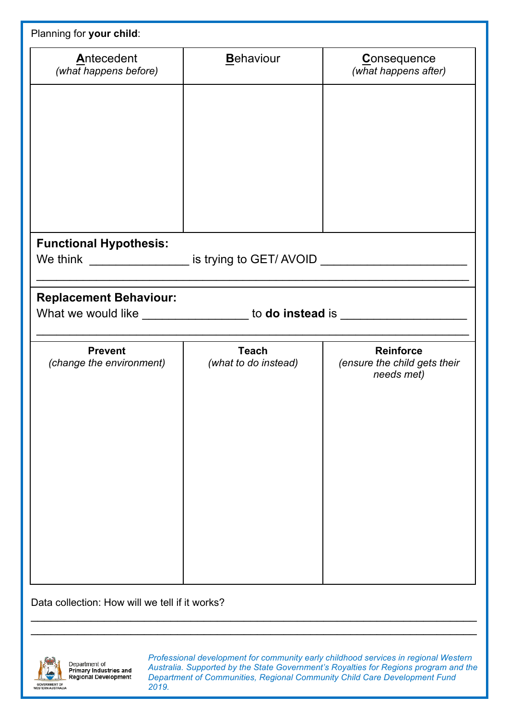| Planning for your child:                                                                                          |                                      |                                                                |
|-------------------------------------------------------------------------------------------------------------------|--------------------------------------|----------------------------------------------------------------|
| Antecedent<br>(what happens before)                                                                               | Behaviour                            | <b>Consequence</b><br>(what happens after)                     |
|                                                                                                                   |                                      |                                                                |
|                                                                                                                   |                                      |                                                                |
|                                                                                                                   |                                      |                                                                |
|                                                                                                                   |                                      |                                                                |
|                                                                                                                   |                                      |                                                                |
| <b>Functional Hypothesis:</b><br>We think __________________ is trying to GET/AVOID _____________________________ |                                      |                                                                |
| <b>Replacement Behaviour:</b><br>What we would like ___________________ to do instead is ________________________ |                                      |                                                                |
| <b>Prevent</b><br>(change the environment)                                                                        | <b>Teach</b><br>(what to do instead) | <b>Reinforce</b><br>(ensure the child gets their<br>needs met) |
|                                                                                                                   |                                      |                                                                |
|                                                                                                                   |                                      |                                                                |
|                                                                                                                   |                                      |                                                                |
|                                                                                                                   |                                      |                                                                |
|                                                                                                                   |                                      |                                                                |
|                                                                                                                   |                                      |                                                                |
|                                                                                                                   |                                      |                                                                |

\_\_\_\_\_\_\_\_\_\_\_\_\_\_\_\_\_\_\_\_\_\_\_\_\_\_\_\_\_\_\_\_\_\_\_\_\_\_\_\_\_\_\_\_\_\_\_\_\_\_\_\_\_\_\_\_\_\_\_\_\_\_\_\_\_\_\_  $\_$ 

Data collection: How will we tell if it works?



Department of Department of<br>Primary Industries and<br>Regional Development